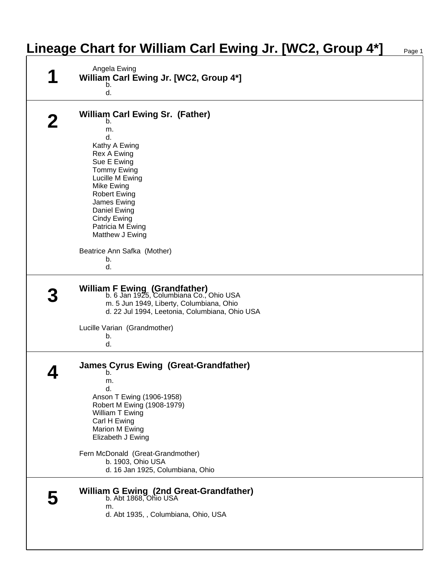## **Lineage Chart for William Carl Ewing Jr. [WC2, Group 4\*]** Page 1

| Angela Ewing<br>William Carl Ewing Jr. [WC2, Group 4*]                                                                                                                 |  |
|------------------------------------------------------------------------------------------------------------------------------------------------------------------------|--|
| b.<br>d.                                                                                                                                                               |  |
| <b>William Carl Ewing Sr. (Father)</b><br>b.                                                                                                                           |  |
| m.<br>d.                                                                                                                                                               |  |
| Kathy A Ewing                                                                                                                                                          |  |
| <b>Rex A Ewing</b><br>Sue E Ewing                                                                                                                                      |  |
| <b>Tommy Ewing</b><br>Lucille M Ewing                                                                                                                                  |  |
| Mike Ewing                                                                                                                                                             |  |
| <b>Robert Ewing</b><br>James Ewing                                                                                                                                     |  |
| Daniel Ewing<br>Cindy Ewing                                                                                                                                            |  |
| Patricia M Ewing<br>Matthew J Ewing                                                                                                                                    |  |
| Beatrice Ann Safka (Mother)                                                                                                                                            |  |
| b.                                                                                                                                                                     |  |
| d.                                                                                                                                                                     |  |
| William F Ewing (Grandfather)<br>b. 6 Jan 1925, Columbiana Co., Ohio USA<br>m. 5 Jun 1949, Liberty, Columbiana, Ohio<br>d. 22 Jul 1994, Leetonia, Columbiana, Ohio USA |  |
| Lucille Varian (Grandmother)                                                                                                                                           |  |
| b.<br>d.                                                                                                                                                               |  |
| <b>James Cyrus Ewing (Great-Grandfather)</b><br>b.                                                                                                                     |  |
| m.<br>d.                                                                                                                                                               |  |
| Anson T Ewing (1906-1958)<br>Robert M Ewing (1908-1979)                                                                                                                |  |
| William T Ewing<br>Carl H Ewing                                                                                                                                        |  |
| Marion M Ewing<br>Elizabeth J Ewing                                                                                                                                    |  |
|                                                                                                                                                                        |  |
| Fern McDonald (Great-Grandmother)<br>b. 1903, Ohio USA                                                                                                                 |  |
| d. 16 Jan 1925, Columbiana, Ohio                                                                                                                                       |  |
| William G Ewing (2nd Great-Grandfather)<br>b. Abt 1868, Ohio USA<br>m.                                                                                                 |  |
| d. Abt 1935, , Columbiana, Ohio, USA                                                                                                                                   |  |